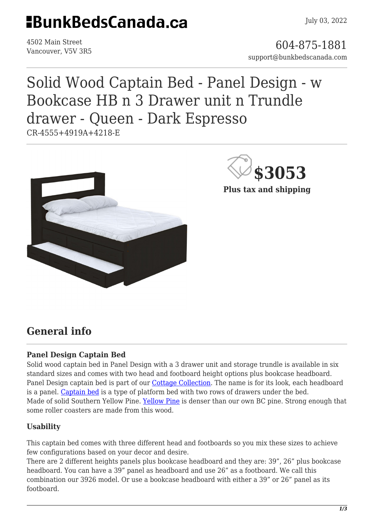# **EBunkBedsCanada.ca**

4502 Main Street

4502 Main Street<br>Vancouver, V5V 3R5 support@bunkbedscanada.com

# Solid Wood Captain Bed - Panel Design - w Bookcase HB n 3 Drawer unit n Trundle drawer - Queen - Dark Espresso

CR-4555+4919A+4218-E



**\$3053**

**Plus tax and shipping**

## **General info**

#### **Panel Design Captain Bed**

Solid wood captain bed in Panel Design with a 3 drawer unit and storage trundle is available in six standard sizes and comes with two head and footboard height options plus bookcase headboard. Panel Design captain bed is part of our [Cottage Collection](https://bunkbedscanada.com/about-cottage-collection). The name is for its look, each headboard is a panel. [Captain bed](https://www.wisegeek.com/what-is-a-captains-bed.htm) is a type of platform bed with two rows of drawers under the bed. Made of solid Southern Yellow Pine. [Yellow Pine](https://en.wikipedia.org/wiki/Yellow_pine) is denser than our own BC pine. Strong enough that some roller coasters are made from this wood.

### **Usability**

This captain bed comes with three different head and footboards so you mix these sizes to achieve few configurations based on your decor and desire.

There are 2 different heights panels plus bookcase headboard and they are: 39", 26" plus bookcase headboard. You can have a 39" panel as headboard and use 26" as a footboard. We call this combination our 3926 model. Or use a bookcase headboard with either a 39" or 26" panel as its footboard.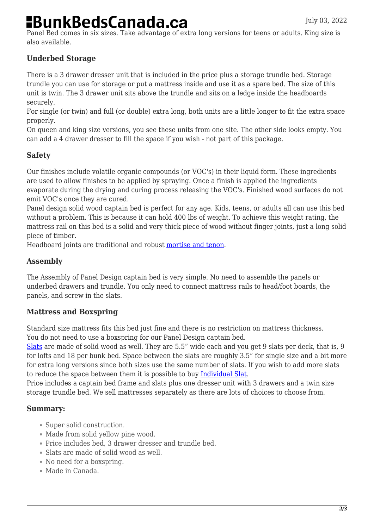# **BunkBedsCanada.ca**

Panel Bed comes in six sizes. Take advantage of extra long versions for teens or adults. King size is also available.

### **Underbed Storage**

There is a 3 drawer dresser unit that is included in the price plus a storage trundle bed. Storage trundle you can use for storage or put a mattress inside and use it as a spare bed. The size of this unit is twin. The 3 drawer unit sits above the trundle and sits on a ledge inside the headboards securely.

For single (or twin) and full (or double) extra long, both units are a little longer to fit the extra space properly.

On queen and king size versions, you see these units from one site. The other side looks empty. You can add a 4 drawer dresser to fill the space if you wish - not part of this package.

### **Safety**

Our finishes include volatile organic compounds (or VOC's) in their liquid form. These ingredients are used to allow finishes to be applied by spraying. Once a finish is applied the ingredients evaporate during the drying and curing process releasing the VOC's. Finished wood surfaces do not emit VOC's once they are cured.

Panel design solid wood captain bed is perfect for any age. Kids, teens, or adults all can use this bed without a problem. This is because it can hold 400 lbs of weight. To achieve this weight rating, the mattress rail on this bed is a solid and very thick piece of wood without finger joints, just a long solid piece of timber.

Headboard joints are traditional and robust [mortise and tenon.](https://en.wikipedia.org/wiki/Mortise_and_tenon)

### **Assembly**

The Assembly of Panel Design captain bed is very simple. No need to assemble the panels or underbed drawers and trundle. You only need to connect mattress rails to head/foot boards, the panels, and screw in the slats.

#### **Mattress and Boxspring**

Standard size mattress fits this bed just fine and there is no restriction on mattress thickness. You do not need to use a boxspring for our Panel Design captain bed.

[Slats](https://bunkbedscanada.com/slats-set-of-9-cottage-collection-unfinished.html#size_swatch=530) are made of solid wood as well. They are 5.5" wide each and you get 9 slats per deck, that is, 9 for lofts and 18 per bunk bed. Space between the slats are roughly 3.5" for single size and a bit more for extra long versions since both sizes use the same number of slats. If you wish to add more slats to reduce the space between them it is possible to buy [Individual Slat.](https://bunkbedscanada.com/slat-1-piece-cottage-collection-unfinished.html#size_swatch=530)

Price includes a captain bed frame and slats plus one dresser unit with 3 drawers and a twin size storage trundle bed. We sell mattresses separately as there are lots of choices to choose from.

#### **Summary:**

- Super solid construction.
- Made from solid yellow pine wood.
- Price includes bed, 3 drawer dresser and trundle bed.
- Slats are made of solid wood as well.
- No need for a boxspring.
- Made in Canada.